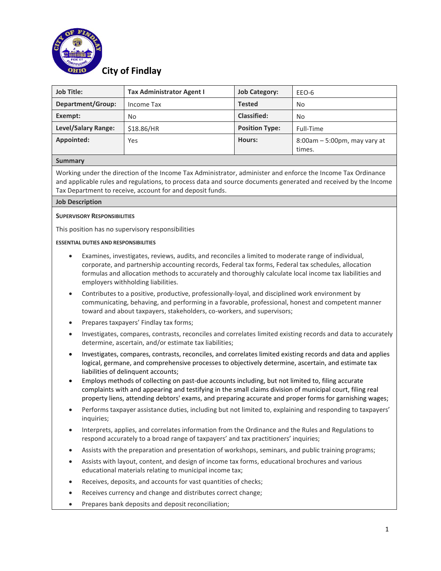

# **City of Findlay**

| <b>Job Title:</b>   | <b>Tax Administrator Agent I</b> | <b>Job Category:</b>  | EEO-6                                       |
|---------------------|----------------------------------|-----------------------|---------------------------------------------|
| Department/Group:   | Income Tax                       | <b>Tested</b>         | No                                          |
| Exempt:             | No                               | <b>Classified:</b>    | No                                          |
| Level/Salary Range: | \$18.86/HR                       | <b>Position Type:</b> | Full-Time                                   |
| Appointed:          | Yes                              | Hours:                | $8:00$ am $-5:00$ pm, may vary at<br>times. |

## **Summary**

Working under the direction of the Income Tax Administrator, administer and enforce the Income Tax Ordinance and applicable rules and regulations, to process data and source documents generated and received by the Income Tax Department to receive, account for and deposit funds.

## **Job Description**

## **SUPERVISORY RESPONSIBILITIES**

This position has no supervisory responsibilities

#### **ESSENTIAL DUTIES AND RESPONSIBILITIES**

- Examines, investigates, reviews, audits, and reconciles a limited to moderate range of individual, corporate, and partnership accounting records, Federal tax forms, Federal tax schedules, allocation formulas and allocation methods to accurately and thoroughly calculate local income tax liabilities and employers withholding liabilities.
- Contributes to a positive, productive, professionally-loyal, and disciplined work environment by communicating, behaving, and performing in a favorable, professional, honest and competent manner toward and about taxpayers, stakeholders, co-workers, and supervisors;
- Prepares taxpayers' Findlay tax forms;
- Investigates, compares, contrasts, reconciles and correlates limited existing records and data to accurately determine, ascertain, and/or estimate tax liabilities;
- Investigates, compares, contrasts, reconciles, and correlates limited existing records and data and applies logical, germane, and comprehensive processes to objectively determine, ascertain, and estimate tax liabilities of delinquent accounts;
- Employs methods of collecting on past-due accounts including, but not limited to, filing accurate complaints with and appearing and testifying in the small claims division of municipal court, filing real property liens, attending debtors' exams, and preparing accurate and proper forms for garnishing wages;
- Performs taxpayer assistance duties, including but not limited to, explaining and responding to taxpayers' inquiries;
- Interprets, applies, and correlates information from the Ordinance and the Rules and Regulations to respond accurately to a broad range of taxpayers' and tax practitioners' inquiries;
- Assists with the preparation and presentation of workshops, seminars, and public training programs;
- Assists with layout, content, and design of income tax forms, educational brochures and various educational materials relating to municipal income tax;
- Receives, deposits, and accounts for vast quantities of checks;
- Receives currency and change and distributes correct change;
- Prepares bank deposits and deposit reconciliation;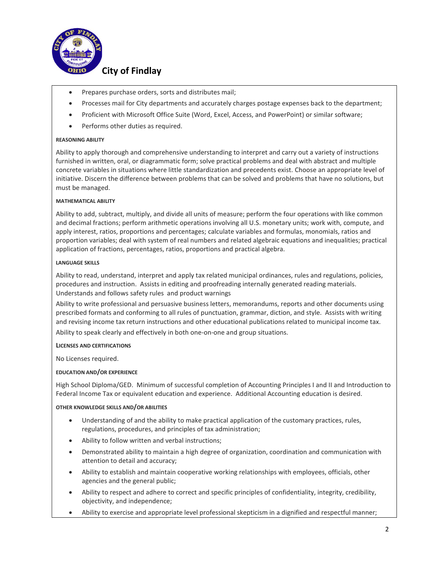

## **City of Findlay**

- Prepares purchase orders, sorts and distributes mail;
- Processes mail for City departments and accurately charges postage expenses back to the department;
- Proficient with Microsoft Office Suite (Word, Excel, Access, and PowerPoint) or similar software;
- Performs other duties as required.

#### **REASONING ABILITY**

Ability to apply thorough and comprehensive understanding to interpret and carry out a variety of instructions furnished in written, oral, or diagrammatic form; solve practical problems and deal with abstract and multiple concrete variables in situations where little standardization and precedents exist. Choose an appropriate level of initiative. Discern the difference between problems that can be solved and problems that have no solutions, but must be managed.

#### **MATHEMATICAL ABILITY**

Ability to add, subtract, multiply, and divide all units of measure; perform the four operations with like common and decimal fractions; perform arithmetic operations involving all U.S. monetary units; work with, compute, and apply interest, ratios, proportions and percentages; calculate variables and formulas, monomials, ratios and proportion variables; deal with system of real numbers and related algebraic equations and inequalities; practical application of fractions, percentages, ratios, proportions and practical algebra.

#### **LANGUAGE SKILLS**

Ability to read, understand, interpret and apply tax related municipal ordinances, rules and regulations, policies, procedures and instruction. Assists in editing and proofreading internally generated reading materials. Understands and follows safety rules and product warnings

Ability to write professional and persuasive business letters, memorandums, reports and other documents using prescribed formats and conforming to all rules of punctuation, grammar, diction, and style. Assists with writing and revising income tax return instructions and other educational publications related to municipal income tax.

Ability to speak clearly and effectively in both one-on-one and group situations.

## **LICENSES AND CERTIFICATIONS**

No Licenses required.

#### **EDUCATION AND/OR EXPERIENCE**

High School Diploma/GED. Minimum of successful completion of Accounting Principles I and II and Introduction to Federal Income Tax or equivalent education and experience. Additional Accounting education is desired.

#### **OTHER KNOWLEDGE SKILLS AND/OR ABILITIES**

- Understanding of and the ability to make practical application of the customary practices, rules, regulations, procedures, and principles of tax administration;
- Ability to follow written and verbal instructions;
- Demonstrated ability to maintain a high degree of organization, coordination and communication with attention to detail and accuracy;
- Ability to establish and maintain cooperative working relationships with employees, officials, other agencies and the general public;
- Ability to respect and adhere to correct and specific principles of confidentiality, integrity, credibility, objectivity, and independence;
- Ability to exercise and appropriate level professional skepticism in a dignified and respectful manner;